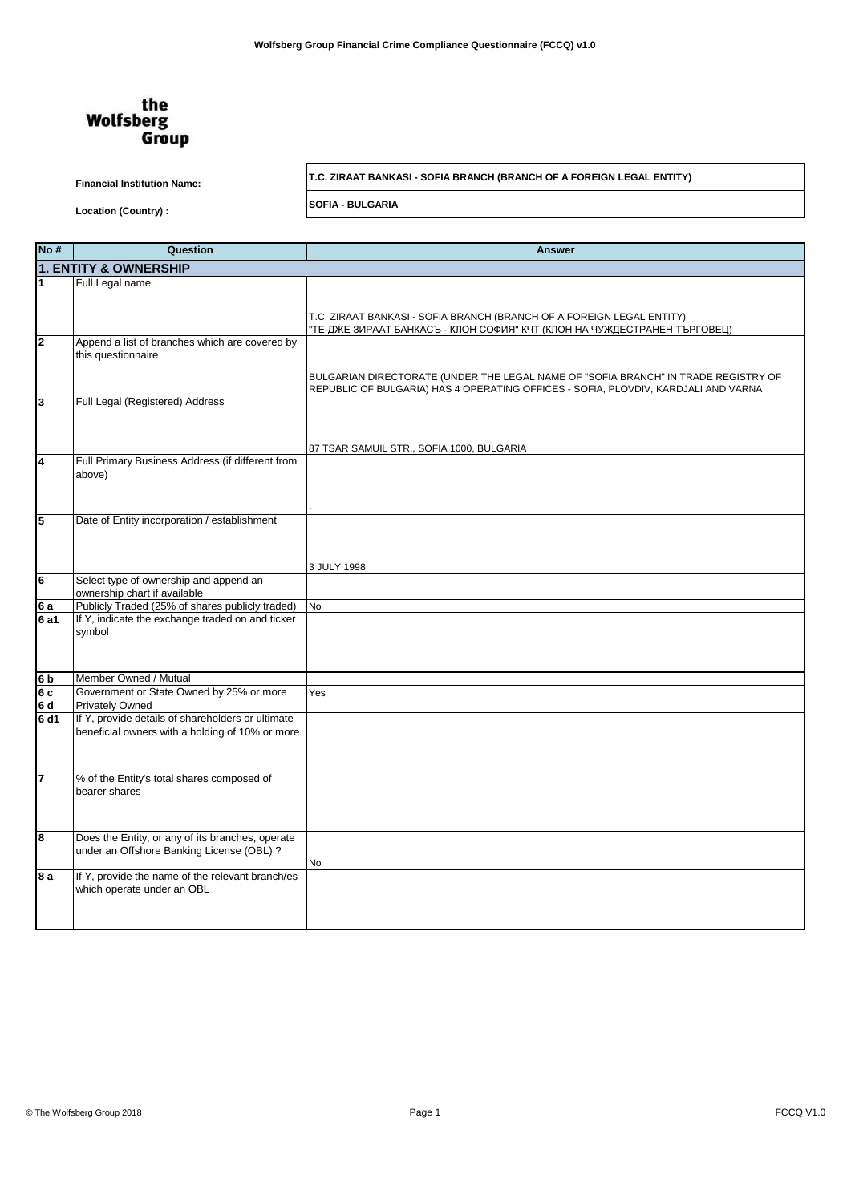

**Financial Institution Name: T.C. ZIRAAT BANKASI - SOFIA BRANCH (BRANCH OF A FOREIGN LEGAL ENTITY)**

**Location (Country) : SOFIA - BULGARIA**

| No#                               | Question                                                                                      | <b>Answer</b>                                                                                                                                                            |
|-----------------------------------|-----------------------------------------------------------------------------------------------|--------------------------------------------------------------------------------------------------------------------------------------------------------------------------|
|                                   | <b>1. ENTITY &amp; OWNERSHIP</b>                                                              |                                                                                                                                                                          |
|                                   | Full Legal name                                                                               |                                                                                                                                                                          |
|                                   |                                                                                               |                                                                                                                                                                          |
|                                   |                                                                                               | T.C. ZIRAAT BANKASI - SOFIA BRANCH (BRANCH OF A FOREIGN LEGAL ENTITY)                                                                                                    |
|                                   |                                                                                               | "ТЕ-ДЖЕ ЗИРААТ БАНКАСЪ - КЛОН СОФИЯ" КЧТ (КЛОН НА ЧУЖДЕСТРАНЕН ТЪРГОВЕЦ)                                                                                                 |
| 2                                 | Append a list of branches which are covered by                                                |                                                                                                                                                                          |
|                                   | this questionnaire                                                                            |                                                                                                                                                                          |
|                                   |                                                                                               |                                                                                                                                                                          |
|                                   |                                                                                               | BULGARIAN DIRECTORATE (UNDER THE LEGAL NAME OF "SOFIA BRANCH" IN TRADE REGISTRY OF<br>REPUBLIC OF BULGARIA) HAS 4 OPERATING OFFICES - SOFIA, PLOVDIV, KARDJALI AND VARNA |
| 3                                 | Full Legal (Registered) Address                                                               |                                                                                                                                                                          |
|                                   |                                                                                               |                                                                                                                                                                          |
|                                   |                                                                                               |                                                                                                                                                                          |
|                                   |                                                                                               | 87 TSAR SAMUIL STR., SOFIA 1000, BULGARIA                                                                                                                                |
| 4                                 | Full Primary Business Address (if different from                                              |                                                                                                                                                                          |
|                                   | above)                                                                                        |                                                                                                                                                                          |
|                                   |                                                                                               |                                                                                                                                                                          |
|                                   |                                                                                               |                                                                                                                                                                          |
| 5                                 | Date of Entity incorporation / establishment                                                  |                                                                                                                                                                          |
|                                   |                                                                                               |                                                                                                                                                                          |
|                                   |                                                                                               |                                                                                                                                                                          |
|                                   |                                                                                               |                                                                                                                                                                          |
| 6                                 | Select type of ownership and append an                                                        | 3 JULY 1998                                                                                                                                                              |
|                                   | ownership chart if available                                                                  |                                                                                                                                                                          |
| 6a                                | Publicly Traded (25% of shares publicly traded)                                               | No                                                                                                                                                                       |
| 6 a1                              | If Y, indicate the exchange traded on and ticker                                              |                                                                                                                                                                          |
|                                   | symbol                                                                                        |                                                                                                                                                                          |
|                                   |                                                                                               |                                                                                                                                                                          |
|                                   |                                                                                               |                                                                                                                                                                          |
| 6 <sub>b</sub>                    | Member Owned / Mutual                                                                         |                                                                                                                                                                          |
| 6c                                | Government or State Owned by 25% or more                                                      | Yes                                                                                                                                                                      |
| 6 <sub>d</sub><br>6 <sub>d1</sub> | <b>Privately Owned</b><br>If Y, provide details of shareholders or ultimate                   |                                                                                                                                                                          |
|                                   | beneficial owners with a holding of 10% or more                                               |                                                                                                                                                                          |
|                                   |                                                                                               |                                                                                                                                                                          |
|                                   |                                                                                               |                                                                                                                                                                          |
| 7                                 |                                                                                               |                                                                                                                                                                          |
|                                   | % of the Entity's total shares composed of<br>bearer shares                                   |                                                                                                                                                                          |
|                                   |                                                                                               |                                                                                                                                                                          |
|                                   |                                                                                               |                                                                                                                                                                          |
|                                   |                                                                                               |                                                                                                                                                                          |
| 8                                 | Does the Entity, or any of its branches, operate<br>under an Offshore Banking License (OBL) ? |                                                                                                                                                                          |
|                                   |                                                                                               | No                                                                                                                                                                       |
| 8 a                               | If Y, provide the name of the relevant branch/es                                              |                                                                                                                                                                          |
|                                   | which operate under an OBL                                                                    |                                                                                                                                                                          |
|                                   |                                                                                               |                                                                                                                                                                          |
|                                   |                                                                                               |                                                                                                                                                                          |
|                                   |                                                                                               |                                                                                                                                                                          |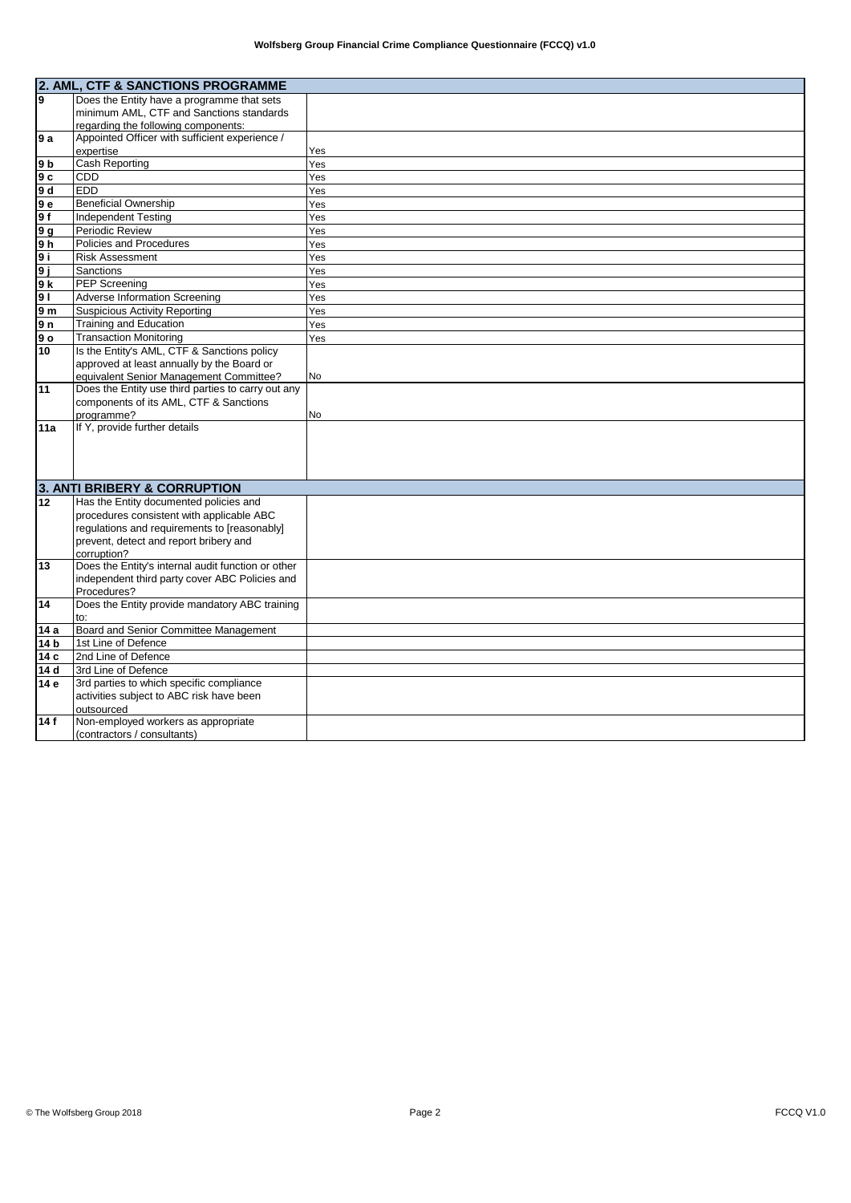|                | 2. AML, CTF & SANCTIONS PROGRAMME                  |     |
|----------------|----------------------------------------------------|-----|
| l9             | Does the Entity have a programme that sets         |     |
|                | minimum AML, CTF and Sanctions standards           |     |
|                | regarding the following components:                |     |
| l9 a           | Appointed Officer with sufficient experience /     |     |
|                | expertise                                          | Yes |
| 9b             | Cash Reporting                                     | Yes |
| l9 c           | CDD                                                | Yes |
| 9 d            | EDD                                                | Yes |
| 9е             | <b>Beneficial Ownership</b>                        | Yes |
| 9 f            | <b>Independent Testing</b>                         | Yes |
| 9 g            | Periodic Review                                    | Yes |
| 9 <sub>h</sub> | Policies and Procedures                            | Yes |
| 9 i            | <b>Risk Assessment</b>                             | Yes |
| 9 j            | Sanctions                                          | Yes |
| 9 k            | <b>PEP</b> Screening                               | Yes |
| 9 <sub>1</sub> | <b>Adverse Information Screening</b>               | Yes |
| 9 <sub>m</sub> | <b>Suspicious Activity Reporting</b>               | Yes |
| 9 n            | <b>Training and Education</b>                      | Yes |
| ه 9            | <b>Transaction Monitoring</b>                      | Yes |
| 10             | Is the Entity's AML, CTF & Sanctions policy        |     |
|                | approved at least annually by the Board or         |     |
|                | equivalent Senior Management Committee?            | No  |
| 11             | Does the Entity use third parties to carry out any |     |
|                | components of its AML, CTF & Sanctions             |     |
| 11a            | programme?<br>If Y, provide further details        | No  |
|                |                                                    |     |
|                |                                                    |     |
|                |                                                    |     |
|                |                                                    |     |
|                | 3. ANTI BRIBERY & CORRUPTION                       |     |
| 12             | Has the Entity documented policies and             |     |
|                | procedures consistent with applicable ABC          |     |
|                | regulations and requirements to [reasonably]       |     |
|                | prevent, detect and report bribery and             |     |
|                | corruption?                                        |     |
| 13             | Does the Entity's internal audit function or other |     |
|                | independent third party cover ABC Policies and     |     |
|                | Procedures?                                        |     |
| 14             | Does the Entity provide mandatory ABC training     |     |
|                | to:<br>Board and Senior Committee Management       |     |
| 14 a           | 1st Line of Defence                                |     |
| 14 b<br>14 c   | 2nd Line of Defence                                |     |
| 14 d           | 3rd Line of Defence                                |     |
| 14 e           | 3rd parties to which specific compliance           |     |
|                | activities subject to ABC risk have been           |     |
|                | outsourced                                         |     |
| 14f            | Non-employed workers as appropriate                |     |
|                | (contractors / consultants)                        |     |
|                |                                                    |     |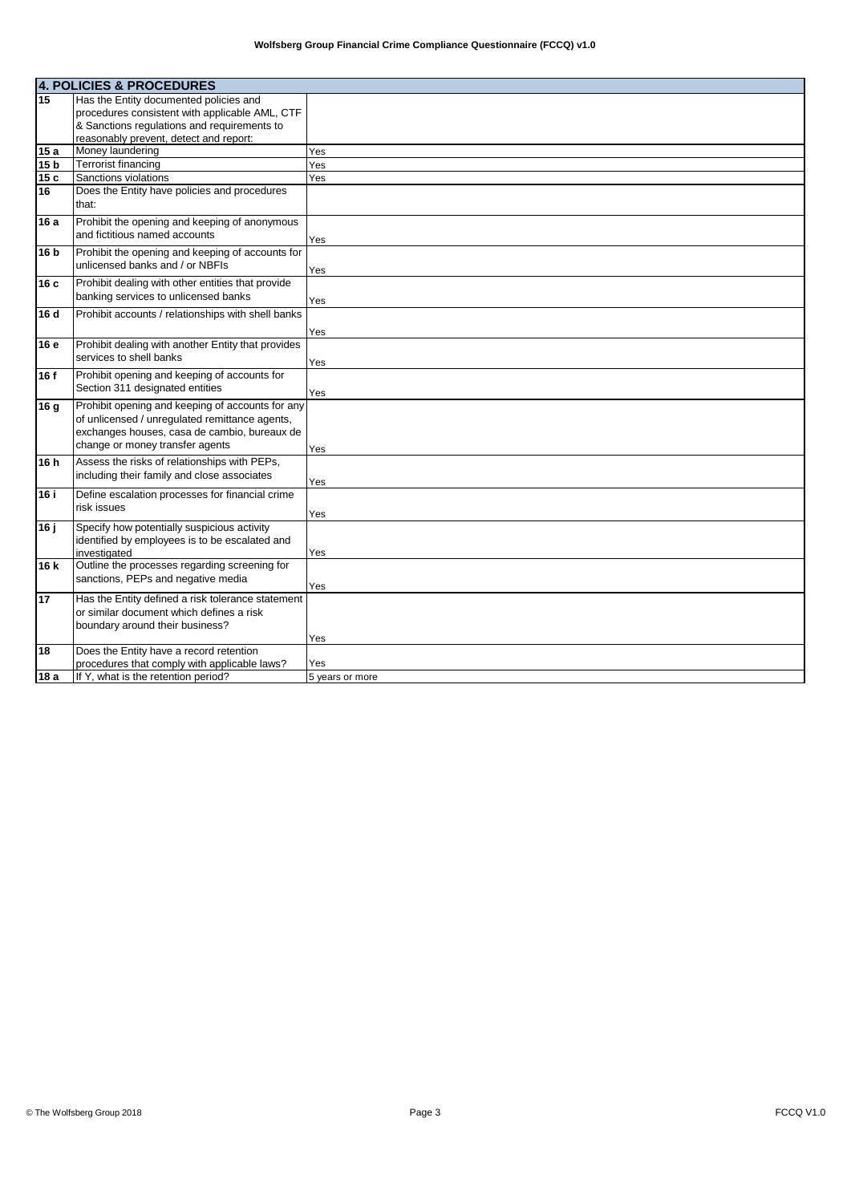|      | <b>4. POLICIES &amp; PROCEDURES</b>                                                                                                                                                   |                 |  |
|------|---------------------------------------------------------------------------------------------------------------------------------------------------------------------------------------|-----------------|--|
| 15   | Has the Entity documented policies and                                                                                                                                                |                 |  |
|      | procedures consistent with applicable AML, CTF                                                                                                                                        |                 |  |
|      | & Sanctions regulations and requirements to                                                                                                                                           |                 |  |
|      | reasonably prevent, detect and report:                                                                                                                                                |                 |  |
| 15 a | Money laundering                                                                                                                                                                      | Yes             |  |
| 15 b | <b>Terrorist financing</b>                                                                                                                                                            | Yes             |  |
| 15c  | Sanctions violations                                                                                                                                                                  | Yes             |  |
| 16   | Does the Entity have policies and procedures<br>that:                                                                                                                                 |                 |  |
| 16 a | Prohibit the opening and keeping of anonymous<br>and fictitious named accounts                                                                                                        | Yes             |  |
| 16 b | Prohibit the opening and keeping of accounts for<br>unlicensed banks and / or NBFIs                                                                                                   | Yes             |  |
| 16c  | Prohibit dealing with other entities that provide<br>banking services to unlicensed banks                                                                                             | Yes             |  |
| 16 d | Prohibit accounts / relationships with shell banks                                                                                                                                    | Yes             |  |
| 16 e | Prohibit dealing with another Entity that provides<br>services to shell banks                                                                                                         | Yes             |  |
| 16 f | Prohibit opening and keeping of accounts for<br>Section 311 designated entities                                                                                                       | Yes             |  |
| 16 g | Prohibit opening and keeping of accounts for any<br>of unlicensed / unregulated remittance agents,<br>exchanges houses, casa de cambio, bureaux de<br>change or money transfer agents | Yes             |  |
| 16 h | Assess the risks of relationships with PEPs,<br>including their family and close associates                                                                                           | Yes             |  |
| 16 i | Define escalation processes for financial crime<br>risk issues                                                                                                                        | Yes             |  |
| 16 ј | Specify how potentially suspicious activity<br>identified by employees is to be escalated and<br>investigated                                                                         | Yes             |  |
| 16 k | Outline the processes regarding screening for<br>sanctions, PEPs and negative media                                                                                                   | Yes             |  |
| 17   | Has the Entity defined a risk tolerance statement<br>or similar document which defines a risk<br>boundary around their business?                                                      | Yes             |  |
| 18   | Does the Entity have a record retention                                                                                                                                               |                 |  |
|      | procedures that comply with applicable laws?                                                                                                                                          | Yes             |  |
| 18 a | If Y, what is the retention period?                                                                                                                                                   | 5 years or more |  |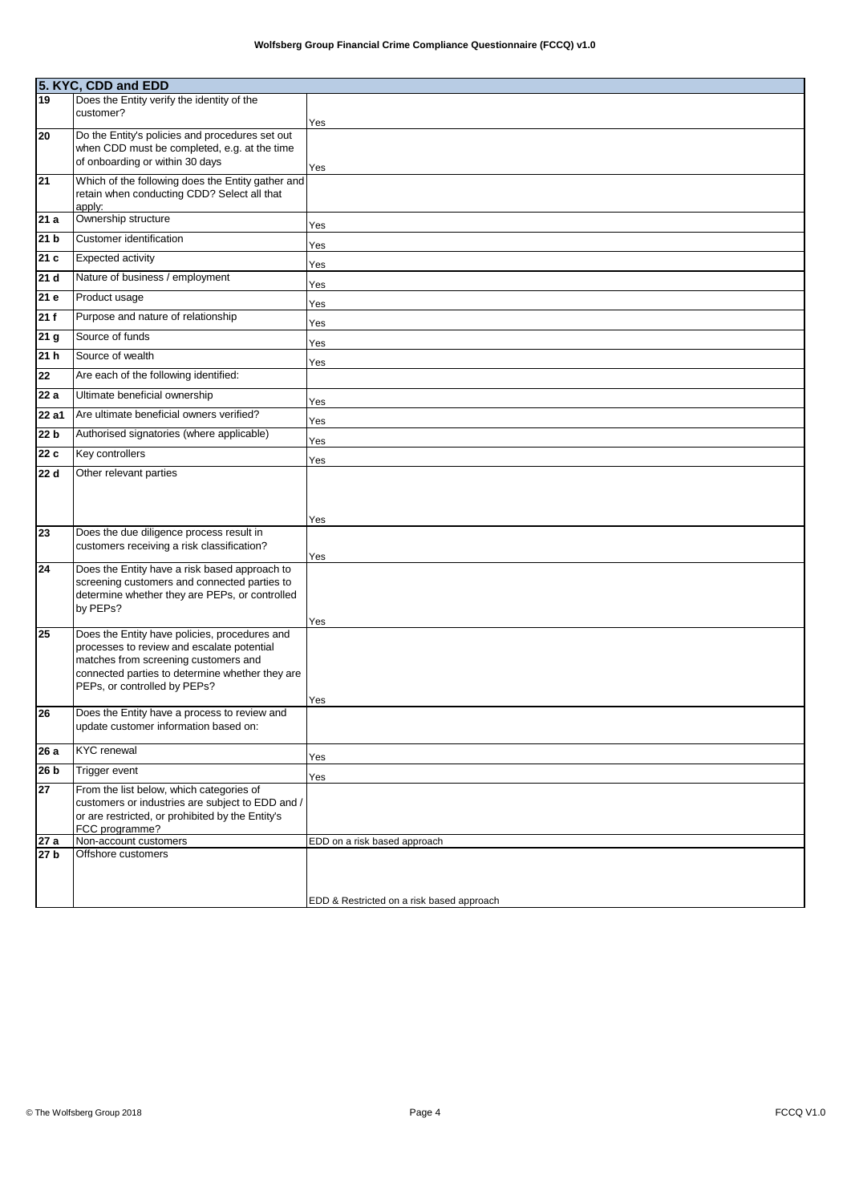|                    | 5. KYC, CDD and EDD<br>19   Does the Entity verif     |                                           |  |
|--------------------|-------------------------------------------------------|-------------------------------------------|--|
|                    | Does the Entity verify the identity of the            |                                           |  |
|                    | customer?                                             | Yes                                       |  |
| 20                 | Do the Entity's policies and procedures set out       |                                           |  |
|                    | when CDD must be completed, e.g. at the time          |                                           |  |
|                    | of onboarding or within 30 days                       | Yes                                       |  |
| 21                 | Which of the following does the Entity gather and     |                                           |  |
|                    | retain when conducting CDD? Select all that<br>apply: |                                           |  |
| 21a                | Ownership structure                                   | Yes                                       |  |
| 21 <sub>b</sub>    | Customer identification                               | Yes                                       |  |
| 21c                | <b>Expected activity</b>                              | Yes                                       |  |
| 21d                | Nature of business / employment                       | Yes                                       |  |
| 21 e               | Product usage                                         | Yes                                       |  |
| 21f                | Purpose and nature of relationship                    | Yes                                       |  |
| 21 <sub>g</sub>    | Source of funds                                       | Yes                                       |  |
| 21 <sub>h</sub>    | Source of wealth                                      | Yes                                       |  |
| $\overline{22}$    | Are each of the following identified:                 |                                           |  |
| $\overline{2}2a$   | Ultimate beneficial ownership                         | Yes                                       |  |
| $\overline{22}$ a1 | Are ultimate beneficial owners verified?              | Yes                                       |  |
| 22 <sub>b</sub>    | Authorised signatories (where applicable)             | Yes                                       |  |
| 22 c               | Key controllers                                       | Yes                                       |  |
| 22 d               | Other relevant parties                                |                                           |  |
|                    |                                                       |                                           |  |
|                    |                                                       | Yes                                       |  |
| 23                 | Does the due diligence process result in              |                                           |  |
|                    | customers receiving a risk classification?            | Yes                                       |  |
| 24                 | Does the Entity have a risk based approach to         |                                           |  |
|                    | screening customers and connected parties to          |                                           |  |
|                    | determine whether they are PEPs, or controlled        |                                           |  |
|                    | by PEPs?                                              |                                           |  |
| 25                 | Does the Entity have policies, procedures and         | Yes                                       |  |
|                    | processes to review and escalate potential            |                                           |  |
|                    | matches from screening customers and                  |                                           |  |
|                    | connected parties to determine whether they are       |                                           |  |
|                    | PEPs, or controlled by PEPs?                          |                                           |  |
| 26                 | Does the Entity have a process to review and          | Yes                                       |  |
|                    | update customer information based on:                 |                                           |  |
| 26a                | <b>KYC</b> renewal                                    | Yes                                       |  |
| 26 b               | Trigger event                                         |                                           |  |
| 27                 | From the list below, which categories of              | Yes                                       |  |
|                    | customers or industries are subject to EDD and /      |                                           |  |
|                    | or are restricted, or prohibited by the Entity's      |                                           |  |
|                    | FCC programme?                                        |                                           |  |
| 27 a<br>27 b       | Non-account customers<br>Offshore customers           | EDD on a risk based approach              |  |
|                    |                                                       |                                           |  |
|                    |                                                       |                                           |  |
|                    |                                                       | EDD & Restricted on a risk based approach |  |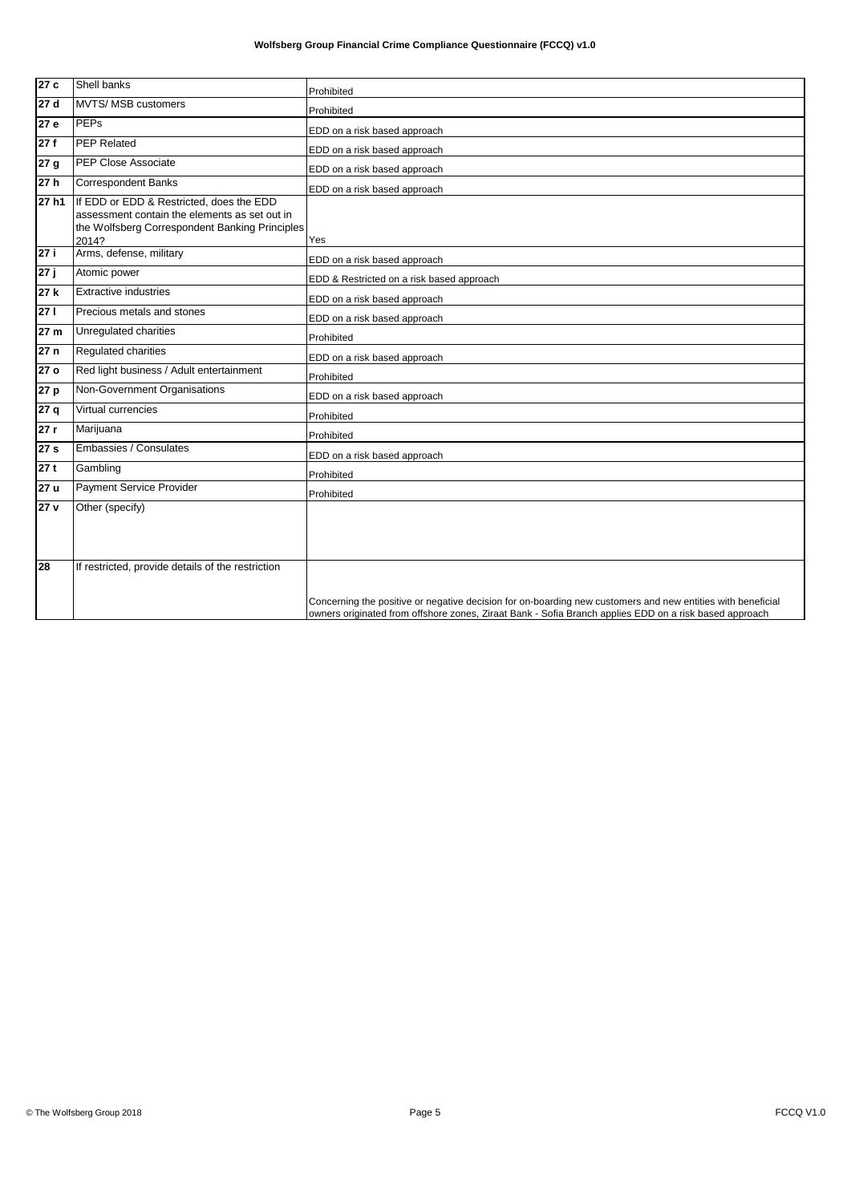| 27c             | Shell banks                                                                                                                                          | Prohibited                                                                                                  |
|-----------------|------------------------------------------------------------------------------------------------------------------------------------------------------|-------------------------------------------------------------------------------------------------------------|
| 27d             | <b>MVTS/ MSB customers</b>                                                                                                                           | Prohibited                                                                                                  |
| 27e             | <b>PEPs</b>                                                                                                                                          | EDD on a risk based approach                                                                                |
| 27f             | <b>PEP Related</b>                                                                                                                                   | EDD on a risk based approach                                                                                |
| 27 <sub>g</sub> | <b>PEP Close Associate</b>                                                                                                                           | EDD on a risk based approach                                                                                |
| 27h             | <b>Correspondent Banks</b>                                                                                                                           | EDD on a risk based approach                                                                                |
| 27 h1           | If EDD or EDD & Restricted, does the EDD<br>assessment contain the elements as set out in<br>the Wolfsberg Correspondent Banking Principles<br>2014? | Yes                                                                                                         |
| 27i             | Arms, defense, military                                                                                                                              | EDD on a risk based approach                                                                                |
| 27 j            | Atomic power                                                                                                                                         | EDD & Restricted on a risk based approach                                                                   |
| 27k             | <b>Extractive industries</b>                                                                                                                         | EDD on a risk based approach                                                                                |
| 271             | Precious metals and stones                                                                                                                           | EDD on a risk based approach                                                                                |
| 27 m            | Unregulated charities                                                                                                                                | Prohibited                                                                                                  |
| 27n             | Regulated charities                                                                                                                                  | EDD on a risk based approach                                                                                |
| 27 <sub>o</sub> | Red light business / Adult entertainment                                                                                                             | Prohibited                                                                                                  |
| 27 p            | Non-Government Organisations                                                                                                                         | EDD on a risk based approach                                                                                |
| 27q             | Virtual currencies                                                                                                                                   | Prohibited                                                                                                  |
| 27r             | Marijuana                                                                                                                                            | Prohibited                                                                                                  |
| 27 <sub>s</sub> | Embassies / Consulates                                                                                                                               | EDD on a risk based approach                                                                                |
| 27t             | Gambling                                                                                                                                             | Prohibited                                                                                                  |
| 27u             | Payment Service Provider                                                                                                                             | Prohibited                                                                                                  |
| 27 v            | Other (specify)                                                                                                                                      |                                                                                                             |
| 28              | If restricted, provide details of the restriction                                                                                                    | Concerning the positive or negative decision for on-boarding new customers and new entities with beneficial |
|                 |                                                                                                                                                      | owners originated from offshore zones, Ziraat Bank - Sofia Branch applies EDD on a risk based approach      |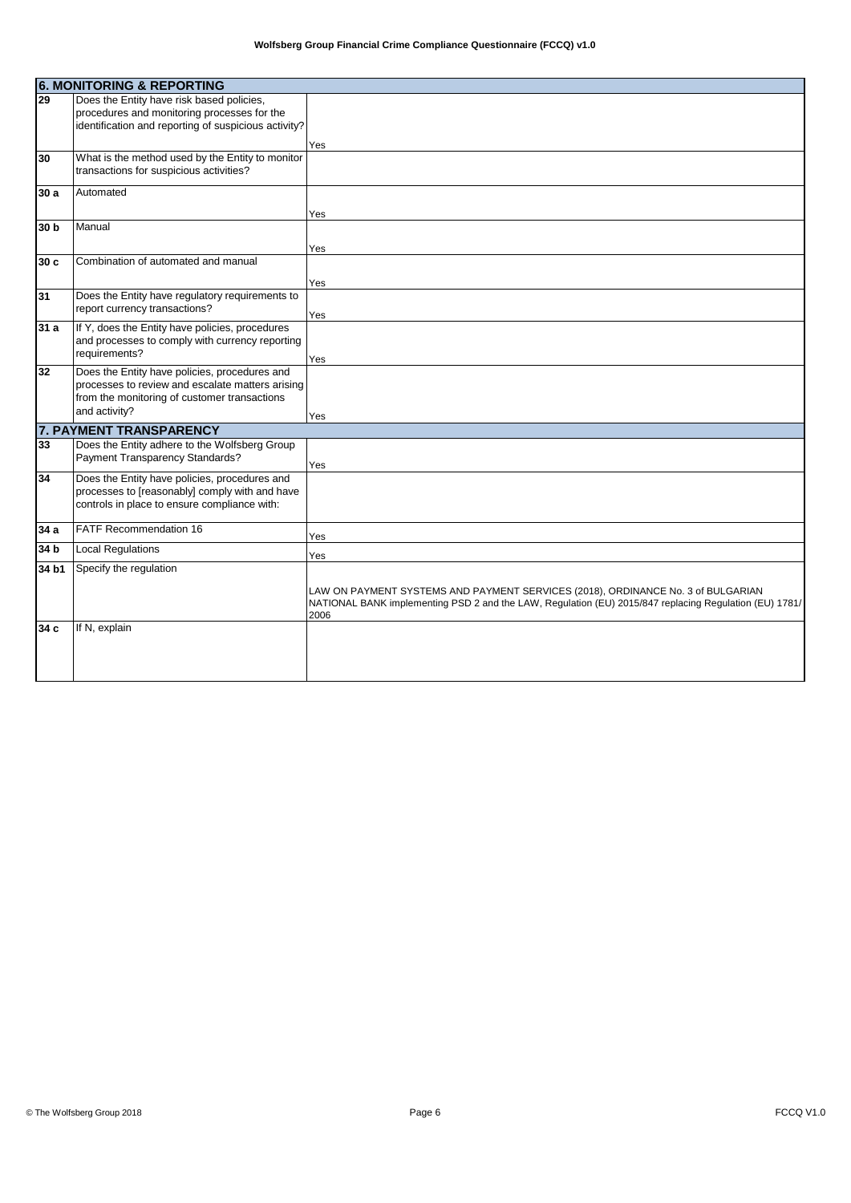|       | <b>6. MONITORING &amp; REPORTING</b>                                                                                                                               |                                                                                                                                                                                                    |  |
|-------|--------------------------------------------------------------------------------------------------------------------------------------------------------------------|----------------------------------------------------------------------------------------------------------------------------------------------------------------------------------------------------|--|
| 29    | Does the Entity have risk based policies,<br>procedures and monitoring processes for the<br>identification and reporting of suspicious activity?                   |                                                                                                                                                                                                    |  |
|       |                                                                                                                                                                    | Yes                                                                                                                                                                                                |  |
| 30    | What is the method used by the Entity to monitor<br>transactions for suspicious activities?                                                                        |                                                                                                                                                                                                    |  |
| 30a   | Automated                                                                                                                                                          |                                                                                                                                                                                                    |  |
|       | Manual                                                                                                                                                             | Yes                                                                                                                                                                                                |  |
| 30 b  |                                                                                                                                                                    | Yes                                                                                                                                                                                                |  |
| 30c   | Combination of automated and manual                                                                                                                                |                                                                                                                                                                                                    |  |
|       |                                                                                                                                                                    | Yes                                                                                                                                                                                                |  |
| 31    | Does the Entity have regulatory requirements to<br>report currency transactions?                                                                                   | Yes                                                                                                                                                                                                |  |
| 31 a  | If Y, does the Entity have policies, procedures<br>and processes to comply with currency reporting<br>requirements?                                                | Yes                                                                                                                                                                                                |  |
| 32    | Does the Entity have policies, procedures and<br>processes to review and escalate matters arising<br>from the monitoring of customer transactions<br>and activity? | Yes                                                                                                                                                                                                |  |
|       | 7. PAYMENT TRANSPARENCY                                                                                                                                            |                                                                                                                                                                                                    |  |
| 33    | Does the Entity adhere to the Wolfsberg Group<br>Payment Transparency Standards?                                                                                   | Yes                                                                                                                                                                                                |  |
| 34    | Does the Entity have policies, procedures and<br>processes to [reasonably] comply with and have<br>controls in place to ensure compliance with:                    |                                                                                                                                                                                                    |  |
| 34 a  | <b>FATF Recommendation 16</b>                                                                                                                                      | Yes                                                                                                                                                                                                |  |
| 34 b  | <b>Local Regulations</b>                                                                                                                                           | Yes                                                                                                                                                                                                |  |
| 34 b1 | Specify the regulation                                                                                                                                             |                                                                                                                                                                                                    |  |
|       |                                                                                                                                                                    | LAW ON PAYMENT SYSTEMS AND PAYMENT SERVICES (2018), ORDINANCE No. 3 of BULGARIAN<br>NATIONAL BANK implementing PSD 2 and the LAW, Regulation (EU) 2015/847 replacing Regulation (EU) 1781/<br>2006 |  |
| 34 c  | If N, explain                                                                                                                                                      |                                                                                                                                                                                                    |  |